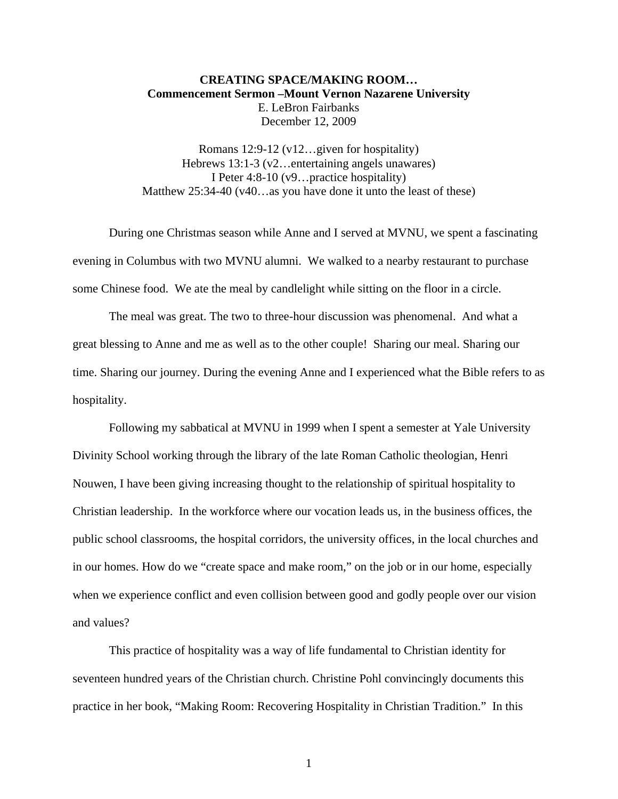## **CREATING SPACE/MAKING ROOM… Commencement Sermon –Mount Vernon Nazarene University**  E. LeBron Fairbanks December 12, 2009

Romans 12:9-12 (v12…given for hospitality) Hebrews 13:1-3 (v2…entertaining angels unawares) I Peter 4:8-10 (v9…practice hospitality) Matthew 25:34-40 (v40...as you have done it unto the least of these)

During one Christmas season while Anne and I served at MVNU, we spent a fascinating evening in Columbus with two MVNU alumni. We walked to a nearby restaurant to purchase some Chinese food. We ate the meal by candlelight while sitting on the floor in a circle.

The meal was great. The two to three-hour discussion was phenomenal. And what a great blessing to Anne and me as well as to the other couple! Sharing our meal. Sharing our time. Sharing our journey. During the evening Anne and I experienced what the Bible refers to as hospitality.

Following my sabbatical at MVNU in 1999 when I spent a semester at Yale University Divinity School working through the library of the late Roman Catholic theologian, Henri Nouwen, I have been giving increasing thought to the relationship of spiritual hospitality to Christian leadership. In the workforce where our vocation leads us, in the business offices, the public school classrooms, the hospital corridors, the university offices, in the local churches and in our homes. How do we "create space and make room," on the job or in our home, especially when we experience conflict and even collision between good and godly people over our vision and values?

This practice of hospitality was a way of life fundamental to Christian identity for seventeen hundred years of the Christian church. Christine Pohl convincingly documents this practice in her book, "Making Room: Recovering Hospitality in Christian Tradition." In this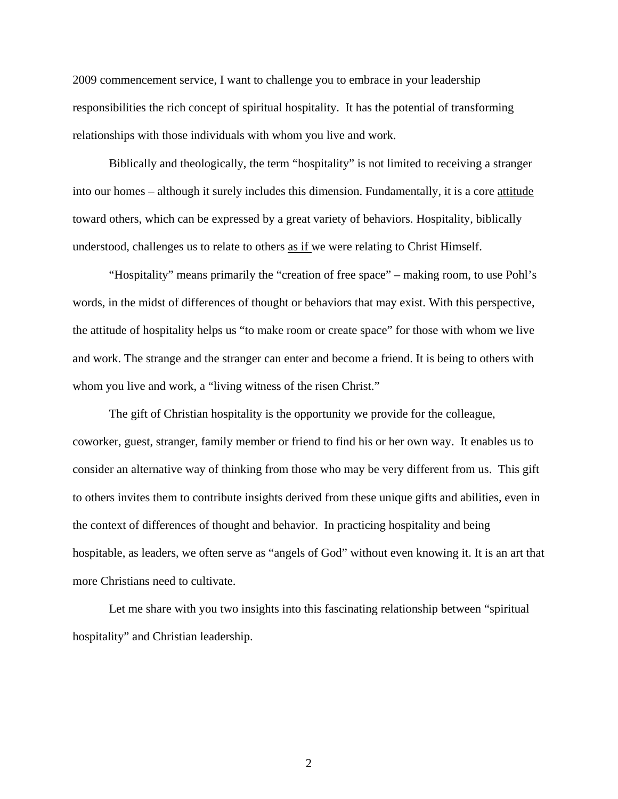2009 commencement service, I want to challenge you to embrace in your leadership responsibilities the rich concept of spiritual hospitality. It has the potential of transforming relationships with those individuals with whom you live and work.

Biblically and theologically, the term "hospitality" is not limited to receiving a stranger into our homes – although it surely includes this dimension. Fundamentally, it is a core attitude toward others, which can be expressed by a great variety of behaviors. Hospitality, biblically understood, challenges us to relate to others as if we were relating to Christ Himself.

"Hospitality" means primarily the "creation of free space" – making room, to use Pohl's words, in the midst of differences of thought or behaviors that may exist. With this perspective, the attitude of hospitality helps us "to make room or create space" for those with whom we live and work. The strange and the stranger can enter and become a friend. It is being to others with whom you live and work, a "living witness of the risen Christ."

The gift of Christian hospitality is the opportunity we provide for the colleague, coworker, guest, stranger, family member or friend to find his or her own way. It enables us to consider an alternative way of thinking from those who may be very different from us. This gift to others invites them to contribute insights derived from these unique gifts and abilities, even in the context of differences of thought and behavior. In practicing hospitality and being hospitable, as leaders, we often serve as "angels of God" without even knowing it. It is an art that more Christians need to cultivate.

Let me share with you two insights into this fascinating relationship between "spiritual hospitality" and Christian leadership.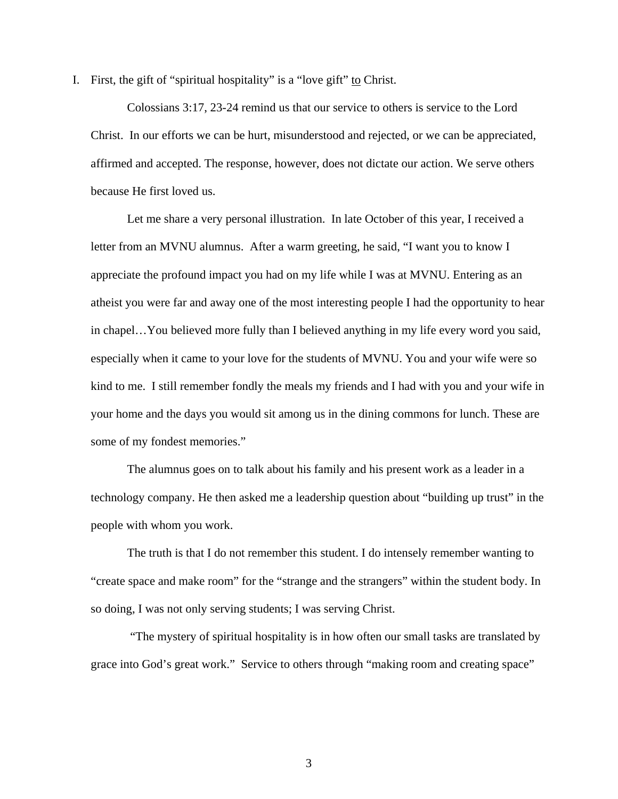I. First, the gift of "spiritual hospitality" is a "love gift" to Christ.

Colossians 3:17, 23-24 remind us that our service to others is service to the Lord Christ. In our efforts we can be hurt, misunderstood and rejected, or we can be appreciated, affirmed and accepted. The response, however, does not dictate our action. We serve others because He first loved us.

Let me share a very personal illustration. In late October of this year, I received a letter from an MVNU alumnus. After a warm greeting, he said, "I want you to know I appreciate the profound impact you had on my life while I was at MVNU. Entering as an atheist you were far and away one of the most interesting people I had the opportunity to hear in chapel…You believed more fully than I believed anything in my life every word you said, especially when it came to your love for the students of MVNU. You and your wife were so kind to me. I still remember fondly the meals my friends and I had with you and your wife in your home and the days you would sit among us in the dining commons for lunch. These are some of my fondest memories."

The alumnus goes on to talk about his family and his present work as a leader in a technology company. He then asked me a leadership question about "building up trust" in the people with whom you work.

The truth is that I do not remember this student. I do intensely remember wanting to "create space and make room" for the "strange and the strangers" within the student body. In so doing, I was not only serving students; I was serving Christ.

 "The mystery of spiritual hospitality is in how often our small tasks are translated by grace into God's great work." Service to others through "making room and creating space"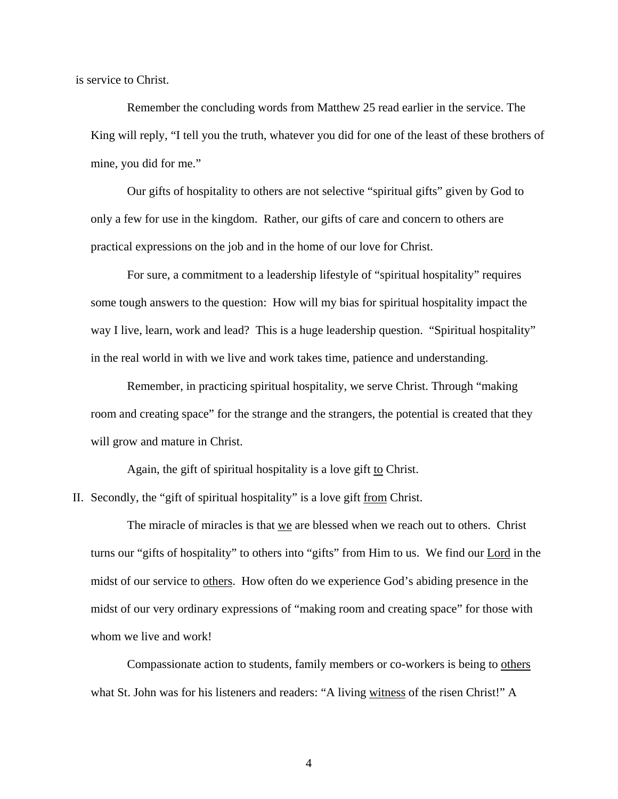is service to Christ.

Remember the concluding words from Matthew 25 read earlier in the service. The King will reply, "I tell you the truth, whatever you did for one of the least of these brothers of mine, you did for me."

 Our gifts of hospitality to others are not selective "spiritual gifts" given by God to only a few for use in the kingdom. Rather, our gifts of care and concern to others are practical expressions on the job and in the home of our love for Christ.

 For sure, a commitment to a leadership lifestyle of "spiritual hospitality" requires some tough answers to the question: How will my bias for spiritual hospitality impact the way I live, learn, work and lead? This is a huge leadership question. "Spiritual hospitality" in the real world in with we live and work takes time, patience and understanding.

Remember, in practicing spiritual hospitality, we serve Christ. Through "making room and creating space" for the strange and the strangers, the potential is created that they will grow and mature in Christ.

Again, the gift of spiritual hospitality is a love gift to Christ.

II. Secondly, the "gift of spiritual hospitality" is a love gift from Christ.

The miracle of miracles is that we are blessed when we reach out to others. Christ turns our "gifts of hospitality" to others into "gifts" from Him to us. We find our Lord in the midst of our service to <u>others</u>. How often do we experience God's abiding presence in the midst of our very ordinary expressions of "making room and creating space" for those with whom we live and work!

Compassionate action to students, family members or co-workers is being to others what St. John was for his listeners and readers: "A living witness of the risen Christ!" A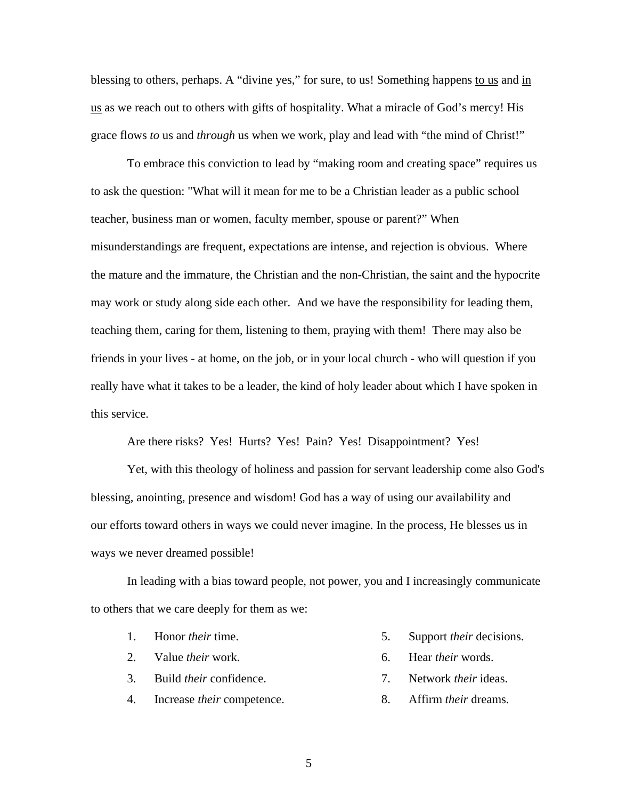blessing to others, perhaps. A "divine yes," for sure, to us! Something happens to us and in us as we reach out to others with gifts of hospitality. What a miracle of God's mercy! His grace flows *to* us and *through* us when we work, play and lead with "the mind of Christ!"

To embrace this conviction to lead by "making room and creating space" requires us to ask the question: "What will it mean for me to be a Christian leader as a public school teacher, business man or women, faculty member, spouse or parent?" When misunderstandings are frequent, expectations are intense, and rejection is obvious. Where the mature and the immature, the Christian and the non-Christian, the saint and the hypocrite may work or study along side each other. And we have the responsibility for leading them, teaching them, caring for them, listening to them, praying with them! There may also be friends in your lives - at home, on the job, or in your local church - who will question if you really have what it takes to be a leader, the kind of holy leader about which I have spoken in this service.

Are there risks? Yes! Hurts? Yes! Pain? Yes! Disappointment? Yes!

Yet, with this theology of holiness and passion for servant leadership come also God's blessing, anointing, presence and wisdom! God has a way of using our availability and our efforts toward others in ways we could never imagine. In the process, He blesses us in ways we never dreamed possible!

In leading with a bias toward people, not power, you and I increasingly communicate to others that we care deeply for them as we:

- 1. Honor *their* time.
- 2. Value *their* work.
- 3. Build *their* confidence.
- 4. Increase *their* competence.
- 5. Support *their* decisions.
- 6. Hear *their* words.
- 7. Network *their* ideas.
- 8. Affirm *their* dreams.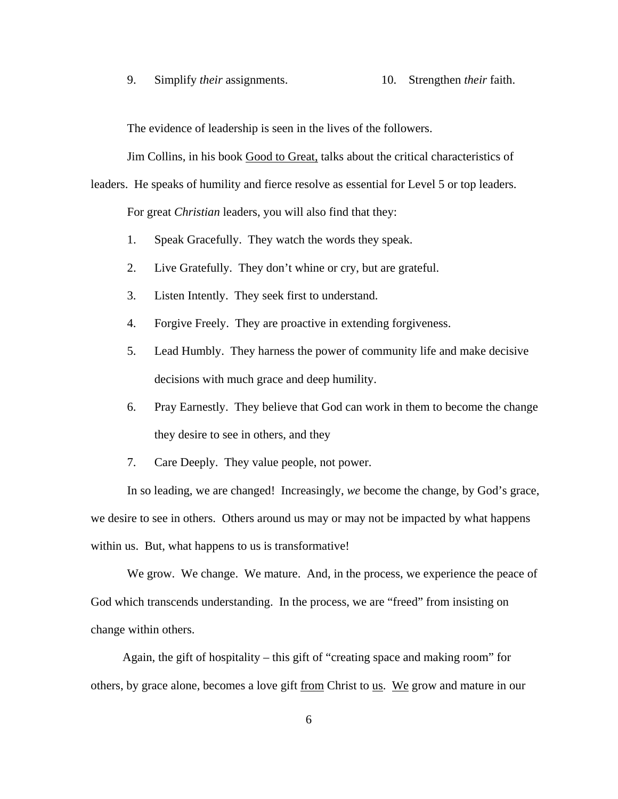9. Simplify *their* assignments. 10. Strengthen *their* faith.

The evidence of leadership is seen in the lives of the followers.

Jim Collins, in his book Good to Great, talks about the critical characteristics of leaders. He speaks of humility and fierce resolve as essential for Level 5 or top leaders.

For great *Christian* leaders, you will also find that they:

- 1. Speak Gracefully. They watch the words they speak.
- 2. Live Gratefully. They don't whine or cry, but are grateful.
- 3. Listen Intently. They seek first to understand.
- 4. Forgive Freely. They are proactive in extending forgiveness.
- 5. Lead Humbly. They harness the power of community life and make decisive decisions with much grace and deep humility.
- 6. Pray Earnestly. They believe that God can work in them to become the change they desire to see in others, and they
- 7. Care Deeply. They value people, not power.

In so leading, we are changed! Increasingly, *we* become the change, by God's grace, we desire to see in others. Others around us may or may not be impacted by what happens within us. But, what happens to us is transformative!

We grow. We change. We mature. And, in the process, we experience the peace of God which transcends understanding. In the process, we are "freed" from insisting on change within others.

Again, the gift of hospitality – this gift of "creating space and making room" for others, by grace alone, becomes a love gift from Christ to us. We grow and mature in our